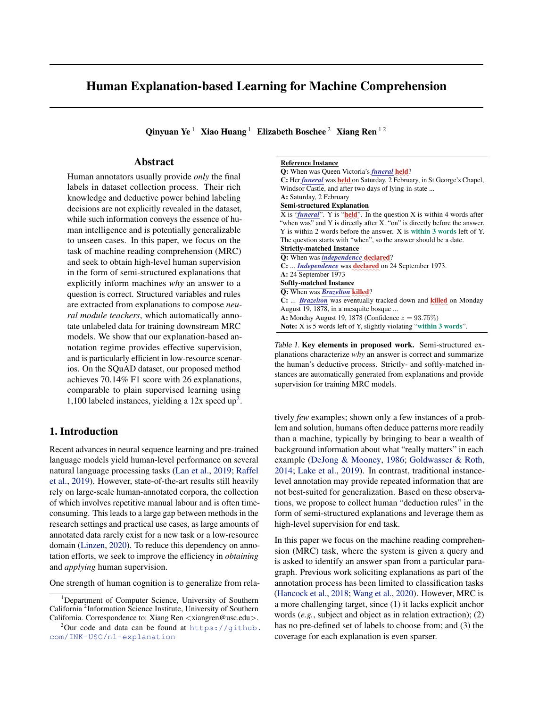# <span id="page-0-0"></span>Human Explanation-based Learning for Machine Comprehension

Qinyuan Ye<sup>1</sup> Xiao Huang<sup>1</sup> Elizabeth Boschee<sup>2</sup> Xiang Ren<sup>12</sup>

# Abstract

Human annotators usually provide *only* the final labels in dataset collection process. Their rich knowledge and deductive power behind labeling decisions are not explicitly revealed in the dataset, while such information conveys the essence of human intelligence and is potentially generalizable to unseen cases. In this paper, we focus on the task of machine reading comprehension (MRC) and seek to obtain high-level human supervision in the form of semi-structured explanations that explicitly inform machines *why* an answer to a question is correct. Structured variables and rules are extracted from explanations to compose *neural module teachers*, which automatically annotate unlabeled data for training downstream MRC models. We show that our explanation-based annotation regime provides effective supervision, and is particularly efficient in low-resource scenarios. On the SQuAD dataset, our proposed method achieves 70.14% F1 score with 26 explanations, comparable to plain supervised learning using 1,100 labeled instances, yielding a  $12x$  speed up<sup>2</sup>.

# 1. Introduction

Recent advances in neural sequence learning and pre-trained language models yield human-level performance on several natural language processing tasks [\(Lan et al.,](#page-8-0) [2019;](#page-8-0) [Raffel](#page-9-0) [et al.,](#page-9-0) [2019\)](#page-9-0). However, state-of-the-art results still heavily rely on large-scale human-annotated corpora, the collection of which involves repetitive manual labour and is often timeconsuming. This leads to a large gap between methods in the research settings and practical use cases, as large amounts of annotated data rarely exist for a new task or a low-resource domain [\(Linzen,](#page-8-0) [2020\)](#page-8-0). To reduce this dependency on annotation efforts, we seek to improve the efficiency in *obtaining* and *applying* human supervision.

One strength of human cognition is to generalize from rela-

| Reference Instance |  |
|--------------------|--|
|                    |  |

| <b>Q:</b> When was Queen Victoria's <i>funeral</i> held?                                 |
|------------------------------------------------------------------------------------------|
| C: Her <i>funeral</i> was held on Saturday, 2 February, in St George's Chapel,           |
| Windsor Castle, and after two days of lying-in-state                                     |
| A: Saturday, 2 February                                                                  |
| <b>Semi-structured Explanation</b>                                                       |
| X is " <i>funeral</i> ". Y is " <i>held</i> ". In the question X is within 4 words after |
| "when was" and Y is directly after X. "on" is directly before the answer.                |
| Y is within 2 words before the answer. X is within 3 words left of Y.                    |
| The question starts with "when", so the answer should be a date.                         |
| <b>Strictly-matched Instance</b>                                                         |
| Q: When was <i>independence</i> declared?                                                |
| C: <i>Independence</i> was <b>declared</b> on 24 September 1973.                         |
| $A: 24$ September 1973                                                                   |
| <b>Softly-matched Instance</b>                                                           |
| O: When was <b>Brazelton killed</b> ?                                                    |
| C: <b>Brazelton</b> was eventually tracked down and <b>killed</b> on Monday              |
| August 19, 1878, in a mesquite bosque                                                    |
| A: Monday August 19, 1878 (Confidence $z = 93.75\%)$                                     |
| Note: X is 5 words left of Y, slightly violating "within 3 words".                       |
|                                                                                          |

Table 1. Key elements in proposed work. Semi-structured explanations characterize *why* an answer is correct and summarize the human's deductive process. Strictly- and softly-matched instances are automatically generated from explanations and provide supervision for training MRC models.

tively *few* examples; shown only a few instances of a problem and solution, humans often deduce patterns more readily than a machine, typically by bringing to bear a wealth of background information about what "really matters" in each example [\(DeJong & Mooney,](#page-8-0) [1986;](#page-8-0) [Goldwasser & Roth,](#page-8-0) [2014;](#page-8-0) [Lake et al.,](#page-8-0) [2019\)](#page-8-0). In contrast, traditional instancelevel annotation may provide repeated information that are not best-suited for generalization. Based on these observations, we propose to collect human "deduction rules" in the form of semi-structured explanations and leverage them as high-level supervision for end task.

In this paper we focus on the machine reading comprehension (MRC) task, where the system is given a query and is asked to identify an answer span from a particular paragraph. Previous work soliciting explanations as part of the annotation process has been limited to classification tasks [\(Hancock et al.,](#page-8-0) [2018;](#page-8-0) [Wang et al.,](#page-9-0) [2020\)](#page-9-0). However, MRC is a more challenging target, since (1) it lacks explicit anchor words (*e.g.*, subject and object as in relation extraction); (2) has no pre-defined set of labels to choose from; and (3) the coverage for each explanation is even sparser.

<sup>1</sup>Department of Computer Science, University of Southern California <sup>2</sup> Information Science Institute, University of Southern California. Correspondence to: Xiang Ren <xiangren@usc.edu>.

 $^{2}$ Our code and data can be found at [https://github.](https://github. com/INK-USC/nl-explanation) [com/INK-USC/nl-explanation](https://github. com/INK-USC/nl-explanation)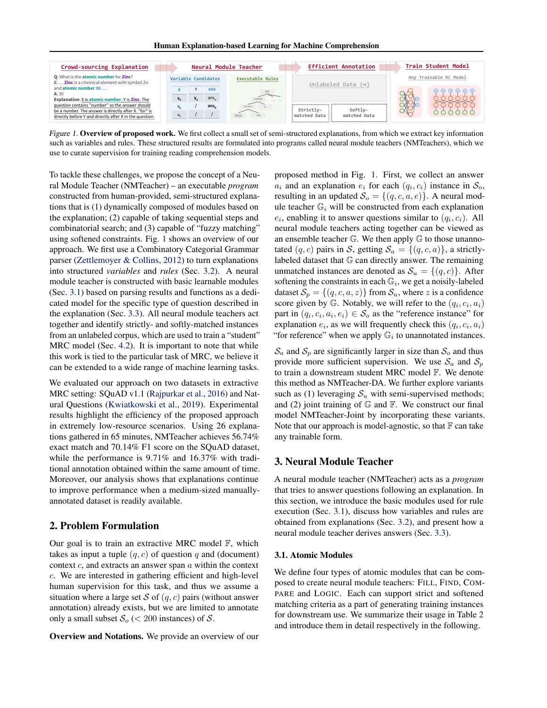

Figure 1. Overview of proposed work. We first collect a small set of semi-structured explanations, from which we extract key information such as variables and rules. These structured results are formulated into programs called neural module teachers (NMTeachers), which we use to curate supervision for training reading comprehension models.

To tackle these challenges, we propose the concept of a Neural Module Teacher (NMTeacher) – an executable *program* constructed from human-provided, semi-structured explanations that is (1) dynamically composed of modules based on the explanation; (2) capable of taking sequential steps and combinatorial search; and (3) capable of "fuzzy matching" using softened constraints. Fig. 1 shows an overview of our approach. We first use a Combinatory Categorial Grammar parser [\(Zettlemoyer & Collins,](#page-9-0) [2012\)](#page-9-0) to turn explanations into structured *variables* and *rules* (Sec. [3.2\)](#page-2-0). A neural module teacher is constructed with basic learnable modules (Sec. [3.1\)](#page-2-0) based on parsing results and functions as a dedicated model for the specific type of question described in the explanation (Sec. [3.3\)](#page-3-0). All neural module teachers act together and identify strictly- and softly-matched instances from an unlabeled corpus, which are used to train a "student" MRC model (Sec. [4.2\)](#page-4-0). It is important to note that while this work is tied to the particular task of MRC, we believe it can be extended to a wide range of machine learning tasks.

We evaluated our approach on two datasets in extractive MRC setting: SQuAD v1.1 [\(Rajpurkar et al.,](#page-9-0) [2016\)](#page-9-0) and Natural Questions [\(Kwiatkowski et al.,](#page-8-0) [2019\)](#page-8-0). Experimental results highlight the efficiency of the proposed approach in extremely low-resource scenarios. Using 26 explanations gathered in 65 minutes, NMTeacher achieves 56.74% exact match and 70.14% F1 score on the SQuAD dataset, while the performance is 9.71% and 16.37% with traditional annotation obtained within the same amount of time. Moreover, our analysis shows that explanations continue to improve performance when a medium-sized manuallyannotated dataset is readily available.

## 2. Problem Formulation

Our goal is to train an extractive MRC model  $\mathbb{F}$ , which takes as input a tuple  $(q, c)$  of question q and (document) context  $c$ , and extracts an answer span  $a$  within the context c. We are interested in gathering efficient and high-level human supervision for this task, and thus we assume a situation where a large set S of  $(q, c)$  pairs (without answer annotation) already exists, but we are limited to annotate only a small subset  $\mathcal{S}_o$  (< 200 instances) of  $\mathcal{S}.$ 

Overview and Notations. We provide an overview of our

proposed method in Fig. 1. First, we collect an answer  $a_i$  and an explanation  $e_i$  for each  $(q_i, c_i)$  instance in  $S_o$ , resulting in an updated  $S_o = \{(q, c, a, e)\}\$ . A neural module teacher  $\mathbb{G}_i$  will be constructed from each explanation  $e_i$ , enabling it to answer questions similar to  $(q_i, c_i)$ . All neural module teachers acting together can be viewed as an ensemble teacher  $\mathbb{G}$ . We then apply  $\mathbb{G}$  to those unannotated  $(q, c)$  pairs in S, getting  $S_a = \{(q, c, a)\}\)$ , a strictlylabeled dataset that G can directly answer. The remaining unmatched instances are denoted as  $S_u = \{(q, c)\}\.$  After softening the constraints in each  $\mathbb{G}_i$ , we get a noisily-labeled dataset  $S_p = \{(q, c, a, z)\}\$ from  $S_u$ , where z is a confidence score given by G. Notably, we will refer to the  $(q_i, c_i, a_i)$ part in  $(q_i, c_i, a_i, e_i) \in S_o$  as the "reference instance" for explanation  $e_i$ , as we will frequently check this  $(q_i, c_i, a_i)$ "for reference" when we apply  $\mathbb{G}_i$  to unannotated instances.

 $S_a$  and  $S_p$  are significantly larger in size than  $S_o$  and thus provide more sufficient supervision. We use  $S_a$  and  $S_p$ to train a downstream student MRC model F. We denote this method as NMTeacher-DA. We further explore variants such as (1) leveraging  $S_u$  with semi-supervised methods; and (2) joint training of  $\mathbb G$  and  $\mathbb F$ . We construct our final model NMTeacher-Joint by incorporating these variants. Note that our approach is model-agnostic, so that  $F$  can take any trainable form.

## 3. Neural Module Teacher

A neural module teacher (NMTeacher) acts as a *program* that tries to answer questions following an explanation. In this section, we introduce the basic modules used for rule execution (Sec. [3.1\)](#page-2-0), discuss how variables and rules are obtained from explanations (Sec. [3.2\)](#page-2-0), and present how a neural module teacher derives answers (Sec. [3.3\)](#page-3-0).

### 3.1. Atomic Modules

We define four types of atomic modules that can be composed to create neural module teachers: FILL, FIND, COM-PARE and LOGIC. Each can support strict and softened matching criteria as a part of generating training instances for downstream use. We summarize their usage in Table [2](#page-2-0) and introduce them in detail respectively in the following.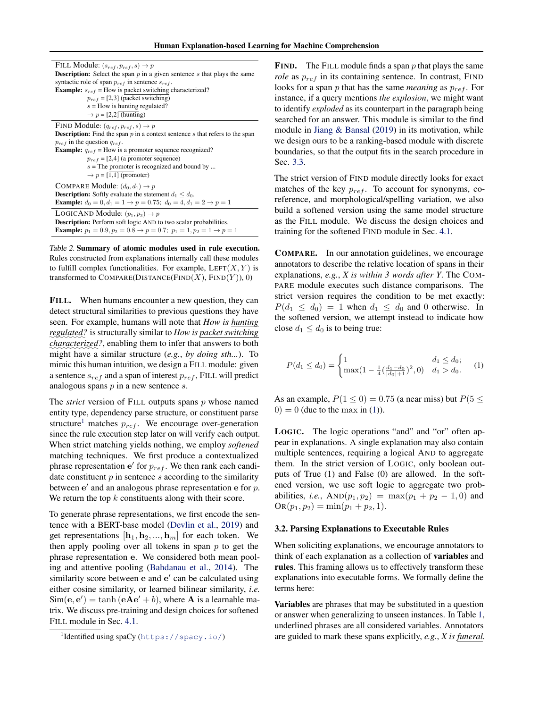<span id="page-2-0"></span>

| FILL Module: $(s_{ref}, p_{ref}, s) \rightarrow p$                                             |
|------------------------------------------------------------------------------------------------|
| <b>Description:</b> Select the span $p$ in a given sentence $s$ that plays the same            |
| syntactic role of span $p_{ref}$ in sentence $s_{ref}$ .                                       |
| <b>Example:</b> $s_{ref}$ = How is packet switching characterized?                             |
| $p_{ref}$ = [2,3] (packet switching)                                                           |
| $s =$ How is hunting regulated?                                                                |
| $\rightarrow p = [2,2]$ (hunting)                                                              |
| FIND Module: $(q_{ref}, p_{ref}, s) \rightarrow p$                                             |
| <b>Description:</b> Find the span $p$ in a context sentence $s$ that refers to the span        |
| $p_{ref}$ in the question $q_{ref}$ .                                                          |
| <b>Example:</b> $q_{ref}$ = How is a promoter sequence recognized?                             |
| $p_{ref}$ = [2,4] (a promoter sequence)                                                        |
| $s$ = The promoter is recognized and bound by                                                  |
| $\rightarrow p = [1,1]$ (promoter)                                                             |
| COMPARE Module: $(d_0, d_1) \rightarrow p$                                                     |
| <b>Description:</b> Softly evaluate the statement $d_1 \leq d_0$ .                             |
| <b>Example:</b> $d_0 = 0, d_1 = 1 \rightarrow p = 0.75; d_0 = 4, d_1 = 2 \rightarrow p = 1$    |
| LOGICAND Module: $(p_1, p_2) \rightarrow p$                                                    |
| <b>Description:</b> Perform soft logic AND to two scalar probabilities.                        |
| <b>Example:</b> $p_1 = 0.9, p_2 = 0.8 \rightarrow p = 0.7; p_1 = 1, p_2 = 1 \rightarrow p = 1$ |

Table 2. Summary of atomic modules used in rule execution. Rules constructed from explanations internally call these modules to fulfill complex functionalities. For example,  $LEFT(X, Y)$  is transformed to  $COMPARE(DISTANCE(FIND(X), FIND(Y)), 0)$ 

FILL. When humans encounter a new question, they can detect structural similarities to previous questions they have seen. For example, humans will note that *How is hunting* ✿✿✿✿✿✿✿✿ *regulated?* is structurally similar to *How is packet switching* characterized?, enabling them to infer that answers to both might have a similar structure (*e.g.*, *by doing sth...*). To mimic this human intuition, we design a FILL module: given a sentence  $s_{ref}$  and a span of interest  $p_{ref}$ , FILL will predict analogous spans  $p$  in a new sentence  $s$ .

The *strict* version of FILL outputs spans p whose named entity type, dependency parse structure, or constituent parse structure<sup>1</sup> matches  $p_{ref}$ . We encourage over-generation since the rule execution step later on will verify each output. When strict matching yields nothing, we employ *softened* matching techniques. We first produce a contextualized phrase representation  $e'$  for  $p_{ref}$ . We then rank each candidate constituent  $p$  in sentence  $s$  according to the similarity between  $e'$  and an analogous phrase representation  $e$  for  $p$ . We return the top  $k$  constituents along with their score.

To generate phrase representations, we first encode the sentence with a BERT-base model [\(Devlin et al.,](#page-8-0) [2019\)](#page-8-0) and get representations  $[\mathbf{h}_1, \mathbf{h}_2, ..., \mathbf{h}_m]$  for each token. We then apply pooling over all tokens in span  $p$  to get the phrase representation e. We considered both mean pooling and attentive pooling [\(Bahdanau et al.,](#page-8-0) [2014\)](#page-8-0). The similarity score between e and e' can be calculated using either cosine similarity, or learned bilinear similarity, *i.e.*  $\text{Sim}(\mathbf{e}, \mathbf{e}') = \tanh(\mathbf{eAe'} + b)$ , where **A** is a learnable matrix. We discuss pre-training and design choices for softened FILL module in Sec. [4.1.](#page-3-0)

**FIND.** The FILL module finds a span  $p$  that plays the same *role* as  $p_{ref}$  in its containing sentence. In contrast, FIND looks for a span  $p$  that has the same *meaning* as  $p_{ref}$ . For instance, if a query mentions *the explosion*, we might want to identify *exploded* as its counterpart in the paragraph being searched for an answer. This module is similar to the find module in [Jiang & Bansal](#page-8-0) [\(2019\)](#page-8-0) in its motivation, while we design ours to be a ranking-based module with discrete boundaries, so that the output fits in the search procedure in Sec. [3.3.](#page-3-0)

The strict version of FIND module directly looks for exact matches of the key  $p_{ref}$ . To account for synonyms, coreference, and morphological/spelling variation, we also build a softened version using the same model structure as the FILL module. We discuss the design choices and training for the softened FIND module in Sec. [4.1.](#page-3-0)

COMPARE. In our annotation guidelines, we encourage annotators to describe the relative location of spans in their explanations, *e.g.*, *X is within 3 words after Y*. The COM-PARE module executes such distance comparisons. The strict version requires the condition to be met exactly:  $P(d_1 \leq d_0) = 1$  when  $d_1 \leq d_0$  and 0 otherwise. In the softened version, we attempt instead to indicate how close  $d_1 \leq d_0$  is to being true:

$$
P(d_1 \le d_0) = \begin{cases} 1 & d_1 \le d_0; \\ \max(1 - \frac{1}{4}(\frac{d_1 - d_0}{|d_0| + 1})^2, 0) & d_1 > d_0. \end{cases}
$$
 (1)

As an example,  $P(1 \le 0) = 0.75$  (a near miss) but  $P(5 \le$  $0 = 0$  (due to the max in (1)).

LOGIC. The logic operations "and" and "or" often appear in explanations. A single explanation may also contain multiple sentences, requiring a logical AND to aggregate them. In the strict version of LOGIC, only boolean outputs of True (1) and False (0) are allowed. In the softened version, we use soft logic to aggregate two probabilities, *i.e.*,  $AND(p_1, p_2) = max(p_1 + p_2 - 1, 0)$  and  $OR(p_1, p_2) = min(p_1 + p_2, 1).$ 

### 3.2. Parsing Explanations to Executable Rules

When soliciting explanations, we encourage annotators to think of each explanation as a collection of variables and rules. This framing allows us to effectively transform these explanations into executable forms. We formally define the terms here:

Variables are phrases that may be substituted in a question or answer when generalizing to unseen instances. In Table [1,](#page-0-0) underlined phrases are all considered variables. Annotators are guided to mark these spans explicitly, *e.g.*, *X is funeral.*

<sup>1</sup> Identified using spaCy (<https://spacy.io/>)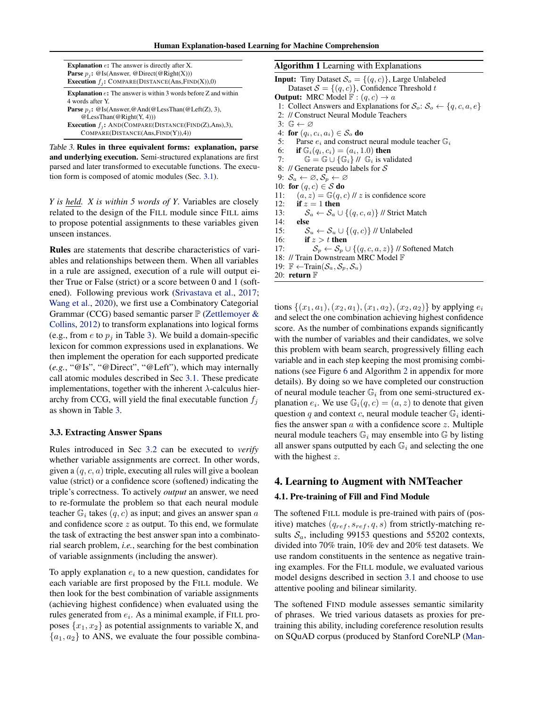<span id="page-3-0"></span>

| <b>Explanation</b> $e$ : The answer is directly after X.<br><b>Parse</b> $p_i$ : @Is(Answer, @Direct(@Right(X)))<br><b>Execution</b> $f_j$ : COMPARE(DISTANCE(Ans, FIND(X)),0) |
|--------------------------------------------------------------------------------------------------------------------------------------------------------------------------------|
| <b>Explanation</b> $e$ : The answer is within 3 words before $Z$ and within                                                                                                    |
| 4 words after Y.                                                                                                                                                               |
| <b>Parse</b> $p_i$ : @Is(Answer, @And(@LessThan(@Left(Z), 3),                                                                                                                  |
| @LessThan(@Right(Y, 4))                                                                                                                                                        |
| <b>Execution</b> $f_i$ : AND(COMPARE(DISTANCE(FIND(Z),Ans),3),                                                                                                                 |
| COMPARE(DISTANCE(Ans, FIND(Y)), 4))                                                                                                                                            |

Table 3. Rules in three equivalent forms: explanation, parse and underlying execution. Semi-structured explanations are first parsed and later transformed to executable functions. The execution form is composed of atomic modules (Sec. [3.1\)](#page-2-0).

*Y is held. X is within 5 words of Y*. Variables are closely related to the design of the FILL module since FILL aims to propose potential assignments to these variables given unseen instances.

Rules are statements that describe characteristics of variables and relationships between them. When all variables in a rule are assigned, execution of a rule will output either True or False (strict) or a score between 0 and 1 (softened). Following previous work [\(Srivastava et al.,](#page-9-0) [2017;](#page-9-0) [Wang et al.,](#page-9-0) [2020\)](#page-9-0), we first use a Combinatory Categorial Grammar (CCG) based semantic parser  $\mathbb P$  [\(Zettlemoyer &](#page-9-0) [Collins,](#page-9-0) [2012\)](#page-9-0) to transform explanations into logical forms (e.g., from  $e$  to  $p_i$  in Table 3). We build a domain-specific lexicon for common expressions used in explanations. We then implement the operation for each supported predicate (*e.g.*, "@Is", "@Direct", "@Left"), which may internally call atomic modules described in Sec [3.1.](#page-2-0) These predicate implementations, together with the inherent  $\lambda$ -calculus hierarchy from CCG, will yield the final executable function  $f_i$ as shown in Table 3.

#### 3.3. Extracting Answer Spans

Rules introduced in Sec [3.2](#page-2-0) can be executed to *verify* whether variable assignments are correct. In other words, given a  $(q, c, a)$  triple, executing all rules will give a boolean value (strict) or a confidence score (softened) indicating the triple's correctness. To actively *output* an answer, we need to re-formulate the problem so that each neural module teacher  $\mathbb{G}_i$  takes  $(q, c)$  as input; and gives an answer span a and confidence score  $z$  as output. To this end, we formulate the task of extracting the best answer span into a combinatorial search problem, *i.e.*, searching for the best combination of variable assignments (including the answer).

To apply explanation  $e_i$  to a new question, candidates for each variable are first proposed by the FILL module. We then look for the best combination of variable assignments (achieving highest confidence) when evaluated using the rules generated from  $e_i$ . As a minimal example, if FILL proposes  $\{x_1, x_2\}$  as potential assignments to variable X, and  ${a_1, a_2}$  to ANS, we evaluate the four possible combinaAlgorithm 1 Learning with Explanations **Input:** Tiny Dataset  $S_o = \{(q, c)\}\$ , Large Unlabeled Dataset  $S = \{(q, c)\}\)$ , Confidence Threshold t **Output:** MRC Model  $F : (q, c) \rightarrow a$ 1: Collect Answers and Explanations for  $S_o$ :  $S_o \leftarrow \{q, c, a, e\}$ 2: // Construct Neural Module Teachers 3:  $\mathbb{G} \leftarrow \varnothing$ 4: for  $(q_i, c_i, a_i) \in S_o$  do 5: Parse  $e_i$  and construct neural module teacher  $\mathbb{G}_i$ 6: **if**  $\mathbb{G}_i(q_i, c_i) = (a_i, 1.0)$  then 7:  $\mathbb{G} = \mathbb{G} \cup \{\mathbb{G}_i\}$  //  $\mathbb{G}_i$  is validated 8: // Generate pseudo labels for S 9:  $S_a \leftarrow \varnothing, S_p \leftarrow \varnothing$ 10: for  $(q, c) \in \mathcal{S}$  do 11:  $(a, z) = \mathbb{G}(q, c)$  // z is confidence score 12: if  $z = 1$  then

13:  $S_a \leftarrow S_a \cup \{(q, c, a)\}$  // Strict Match

14: else

15:  $S_u \leftarrow S_u \cup \{(q, c)\}$  // Unlabeled<br>16: **if**  $z > t$  **then** if  $z > t$  then

17:  $S_p \leftarrow S_p \cup \{(q, c, a, z)\}$  // Softened Match

18: // Train Downstream MRC Model F

19:  $\mathbb{F} \leftarrow \text{Train}(\mathcal{S}_a, \mathcal{S}_p, \mathcal{S}_u)$ 20: return  $\mathbb F$ 

tions  $\{(x_1, a_1), (x_2, a_1), (x_1, a_2), (x_2, a_2)\}$  by applying  $e_i$ and select the one combination achieving highest confidence score. As the number of combinations expands significantly with the number of variables and their candidates, we solve this problem with beam search, progressively filling each variable and in each step keeping the most promising combinations (see Figure [6](#page-12-0) and Algorithm [2](#page-11-0) in appendix for more details). By doing so we have completed our construction of neural module teacher  $\mathbb{G}_i$  from one semi-structured explanation  $e_i$ . We use  $\mathbb{G}_i(q, c) = (a, z)$  to denote that given question q and context c, neural module teacher  $\mathbb{G}_i$  identifies the answer span  $a$  with a confidence score  $z$ . Multiple neural module teachers  $\mathbb{G}_i$  may ensemble into  $\mathbb{G}_i$  by listing all answer spans outputted by each  $\mathbb{G}_i$  and selecting the one with the highest z.

## 4. Learning to Augment with NMTeacher

## 4.1. Pre-training of Fill and Find Module

The softened FILL module is pre-trained with pairs of (positive) matches  $(q_{ref}, s_{ref}, q, s)$  from strictly-matching results  $S_a$ , including 99153 questions and 55202 contexts, divided into 70% train, 10% dev and 20% test datasets. We use random constituents in the sentence as negative training examples. For the FILL module, we evaluated various model designs described in section [3.1](#page-2-0) and choose to use attentive pooling and bilinear similarity.

The softened FIND module assesses semantic similarity of phrases. We tried various datasets as proxies for pretraining this ability, including coreference resolution results [on SQuAD corpus \(produced by Stanford CoreNLP \(Man-](#page-8-0)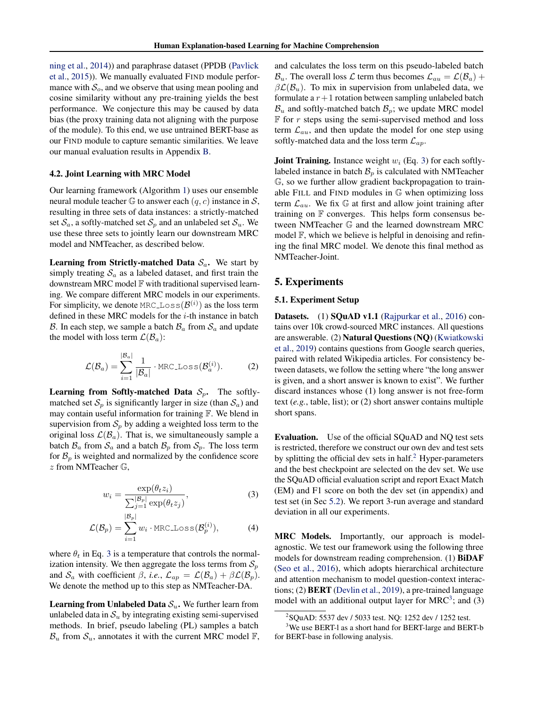<span id="page-4-0"></span>[ning et al.,](#page-8-0) [2014\)](#page-8-0)) and paraphrase dataset (PPDB [\(Pavlick](#page-8-0) [et al.,](#page-8-0) [2015\)](#page-8-0)). We manually evaluated FIND module performance with  $S<sub>o</sub>$ , and we observe that using mean pooling and cosine similarity without any pre-training yields the best performance. We conjecture this may be caused by data bias (the proxy training data not aligning with the purpose of the module). To this end, we use untrained BERT-base as our FIND module to capture semantic similarities. We leave our manual evaluation results in Appendix [B.](#page-10-0)

#### 4.2. Joint Learning with MRC Model

Our learning framework (Algorithm [1\)](#page-3-0) uses our ensemble neural module teacher  $\mathbb G$  to answer each  $(q, c)$  instance in S, resulting in three sets of data instances: a strictly-matched set  $S_a$ , a softly-matched set  $S_p$  and an unlabeled set  $S_u$ . We use these three sets to jointly learn our downstream MRC model and NMTeacher, as described below.

**Learning from Strictly-matched Data**  $S_a$ . We start by simply treating  $S_a$  as a labeled dataset, and first train the downstream MRC model F with traditional supervised learning. We compare different MRC models in our experiments. For simplicity, we denote MRC\_Loss $(\mathcal{B}^{(i)})$  as the loss term defined in these MRC models for the  $i$ -th instance in batch B. In each step, we sample a batch  $B_a$  from  $S_a$  and update the model with loss term  $\mathcal{L}(\mathcal{B}_a)$ :

$$
\mathcal{L}(\mathcal{B}_a) = \sum_{i=1}^{|\mathcal{B}_a|} \frac{1}{|\mathcal{B}_a|} \cdot \text{MRC\_Loss}(\mathcal{B}_a^{(i)}). \tag{2}
$$

**Learning from Softly-matched Data**  $S_p$ . The softlymatched set  $S_p$  is significantly larger in size (than  $S_a$ ) and may contain useful information for training F. We blend in supervision from  $S_p$  by adding a weighted loss term to the original loss  $\mathcal{L}(\mathcal{B}_a)$ . That is, we simultaneously sample a batch  $\mathcal{B}_a$  from  $\mathcal{S}_a$  and a batch  $\mathcal{B}_p$  from  $\mathcal{S}_p$ . The loss term for  $\mathcal{B}_p$  is weighted and normalized by the confidence score z from NMTeacher G,

$$
w_i = \frac{\exp(\theta_t z_i)}{\sum_{j=1}^{|B_p|} \exp(\theta_t z_j)},
$$
\n(3)

$$
\mathcal{L}(\mathcal{B}_p) = \sum_{i=1}^{|\mathcal{B}_p|} w_i \cdot \text{MRC-Loss}(\mathcal{B}_p^{(i)}),\tag{4}
$$

where  $\theta_t$  in Eq. 3 is a temperature that controls the normalization intensity. We then aggregate the loss terms from  $S_p$ and  $S_a$  with coefficient  $\beta$ , *i.e.*,  $\mathcal{L}_{ap} = \mathcal{L}(\mathcal{B}_a) + \beta \mathcal{L}(\mathcal{B}_p)$ . We denote the method up to this step as NMTeacher-DA.

**Learning from Unlabeled Data**  $S_u$ . We further learn from unlabeled data in  $\mathcal{S}_u$  by integrating existing semi-supervised methods. In brief, pseudo labeling (PL) samples a batch  $\mathcal{B}_u$  from  $\mathcal{S}_u$ , annotates it with the current MRC model F, and calculates the loss term on this pseudo-labeled batch  $\mathcal{B}_u$ . The overall loss  $\mathcal{L}$  term thus becomes  $\mathcal{L}_{au} = \mathcal{L}(\mathcal{B}_a) +$  $\beta \mathcal{L}(\mathcal{B}_u)$ . To mix in supervision from unlabeled data, we formulate a  $r+1$  rotation between sampling unlabeled batch  $B_u$  and softly-matched batch  $B_p$ ; we update MRC model  $F$  for r steps using the semi-supervised method and loss term  $\mathcal{L}_{au}$ , and then update the model for one step using softly-matched data and the loss term  $\mathcal{L}_{ap}$ .

**Joint Training.** Instance weight  $w_i$  (Eq. 3) for each softlylabeled instance in batch  $\mathcal{B}_p$  is calculated with NMTeacher G, so we further allow gradient backpropagation to trainable FILL and FIND modules in G when optimizing loss term  $\mathcal{L}_{au}$ . We fix  $\mathbb{G}$  at first and allow joint training after training on  $\mathbb F$  converges. This helps form consensus between NMTeacher G and the learned downstream MRC model  $\mathbb{F}$ , which we believe is helpful in denoising and refining the final MRC model. We denote this final method as NMTeacher-Joint.

## 5. Experiments

### 5.1. Experiment Setup

Datasets. (1) SQuAD v1.1 [\(Rajpurkar et al.,](#page-9-0) [2016\)](#page-9-0) contains over 10k crowd-sourced MRC instances. All questions are answerable. (2) Natural Questions (NQ) [\(Kwiatkowski](#page-8-0) [et al.,](#page-8-0) [2019\)](#page-8-0) contains questions from Google search queries, paired with related Wikipedia articles. For consistency between datasets, we follow the setting where "the long answer is given, and a short answer is known to exist". We further discard instances whose (1) long answer is not free-form text (*e.g.*, table, list); or (2) short answer contains multiple short spans.

Evaluation. Use of the official SQuAD and NQ test sets is restricted, therefore we construct our own dev and test sets by splitting the official dev sets in half. $2$  Hyper-parameters and the best checkpoint are selected on the dev set. We use the SQuAD official evaluation script and report Exact Match (EM) and F1 score on both the dev set (in appendix) and test set (in Sec [5.2\)](#page-5-0). We report 3-run average and standard deviation in all our experiments.

MRC Models. Importantly, our approach is modelagnostic. We test our framework using the following three models for downstream reading comprehension. (1) BiDAF [\(Seo et al.,](#page-9-0) [2016\)](#page-9-0), which adopts hierarchical architecture and attention mechanism to model question-context interactions; (2) BERT [\(Devlin et al.,](#page-8-0) [2019\)](#page-8-0), a pre-trained language model with an additional output layer for  $MRC<sup>3</sup>$ ; and (3)

<sup>&</sup>lt;sup>2</sup>SQuAD: 5537 dev / 5033 test. NQ: 1252 dev / 1252 test.

<sup>&</sup>lt;sup>3</sup>We use BERT-l as a short hand for BERT-large and BERT-b for BERT-base in following analysis.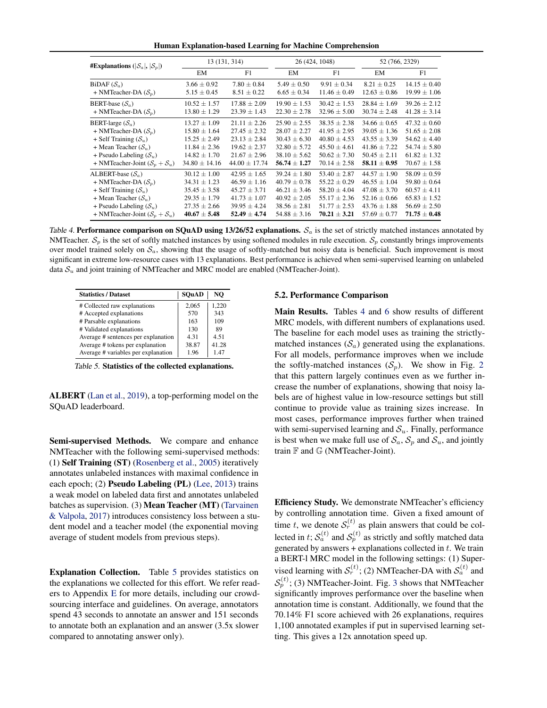Human Explanation-based Learning for Machine Comprehension

<span id="page-5-0"></span>

| #Explanations ( $ \mathcal{S}_a ,  \mathcal{S}_n $ ) | 13 (131, 314)     |                   | 26 (424, 1048)   |                  | 52 (766, 2329)   |                  |
|------------------------------------------------------|-------------------|-------------------|------------------|------------------|------------------|------------------|
|                                                      | EM                | F1                | EM               | F1               | EM               | F1               |
| BiDAF $(S_a)$                                        | $3.66 \pm 0.92$   | $7.80 \pm 0.84$   | $5.49 \pm 0.50$  | $9.91 \pm 0.34$  | $8.21 \pm 0.25$  | $14.15 \pm 0.40$ |
| + NMTeacher-DA $(S_n)$                               | $5.15 \pm 0.45$   | $8.51 \pm 0.22$   | $6.65 \pm 0.34$  | $11.46 \pm 0.49$ | $12.63 \pm 0.86$ | $19.99 \pm 1.06$ |
| BERT-base $(S_a)$                                    | $10.52 \pm 1.57$  | $17.88 \pm 2.09$  | $19.90 \pm 1.53$ | $30.42 \pm 1.53$ | $28.84 \pm 1.69$ | $39.26 \pm 2.12$ |
| + NMTeacher-DA $(S_n)$                               | $13.80 \pm 1.29$  | $23.39 \pm 1.43$  | $22.30 \pm 2.78$ | $32.96 \pm 5.00$ | $30.74 \pm 2.48$ | $41.28 \pm 3.14$ |
| BERT-large $(\mathcal{S}_a)$                         | $13.27 \pm 1.09$  | $21.11 + 2.26$    | $25.90 \pm 2.55$ | $38.35 \pm 2.38$ | $34.66 \pm 0.65$ | $47.32 \pm 0.60$ |
| + NMTeacher-DA $(S_n)$                               | $15.80 \pm 1.64$  | $27.45 + 2.32$    | $28.07 \pm 2.27$ | $41.95 \pm 2.95$ | $39.05 \pm 1.36$ | $51.65 \pm 2.08$ |
| + Self Training $(S_u)$                              | $15.25 \pm 2.49$  | $23.13 \pm 2.84$  | $30.43 \pm 6.30$ | $40.80 \pm 4.53$ | $43.55 \pm 3.39$ | $54.62 \pm 4.40$ |
| + Mean Teacher $(S_u)$                               | $11.84 \pm 2.36$  | $19.62 \pm 2.37$  | $32.80 + 5.72$   | $45.50 + 4.61$   | $41.86 + 7.22$   | $54.74 \pm 5.80$ |
| + Pseudo Labeling $(S_u)$                            | $14.82 \pm 1.70$  | $21.67 \pm 2.96$  | $38.10 \pm 5.62$ | $50.62 \pm 7.30$ | $50.45 \pm 2.11$ | $61.82 \pm 1.32$ |
| + NMTeacher-Joint $(S_n + S_n)$                      | $34.80 \pm 14.16$ | $44.00 \pm 17.74$ | $56.74 \pm 1.27$ | $70.14 \pm 2.58$ | $58.11 \pm 0.95$ | $70.67 \pm 1.58$ |
| ALBERT-base $(S_a)$                                  | $30.12 \pm 1.00$  | $42.95 \pm 1.65$  | $39.24 + 1.80$   | $53.40 \pm 2.87$ | $44.57 \pm 1.90$ | $58.09 \pm 0.59$ |
| + NMTeacher-DA $(S_n)$                               | $34.31 \pm 1.23$  | $46.59 \pm 1.16$  | $40.79 \pm 0.78$ | $55.22 + 0.29$   | $46.55 \pm 1.04$ | $59.80 \pm 0.64$ |
| + Self Training $(S_u)$                              | $35.45 \pm 3.58$  | $45.27 \pm 3.71$  | $46.21 \pm 3.46$ | $58.20 + 4.04$   | $47.08 \pm 3.70$ | $60.57 \pm 4.11$ |
| + Mean Teacher $(S_u)$                               | $29.35 \pm 1.79$  | $41.73 \pm 1.07$  | $40.92 \pm 2.05$ | $55.17 \pm 2.36$ | $52.16 \pm 0.66$ | $65.83 \pm 1.52$ |
| + Pseudo Labeling $(S_u)$                            | $27.35 \pm 2.66$  | $39.95 \pm 4.24$  | $38.56 \pm 2.81$ | $51.77 \pm 2.53$ | $43.76 \pm 1.88$ | $56.69 \pm 2.50$ |
| + NMTeacher-Joint $(S_n + S_n)$                      | $40.67 \pm 5.48$  | $52.49 \pm 4.74$  | $54.88 \pm 3.16$ | $70.21 \pm 3.21$ | $57.69 \pm 0.77$ | $71.75 \pm 0.48$ |

Table 4. Performance comparison on SQuAD using 13/26/52 explanations.  $S_a$  is the set of strictly matched instances annotated by NMTeacher.  $S_p$  is the set of softly matched instances by using softened modules in rule execution.  $S_p$  constantly brings improvements over model trained solely on  $S_a$ , showing that the usage of softly-matched but noisy data is beneficial. Such improvement is most significant in extreme low-resource cases with 13 explanations. Best performance is achieved when semi-supervised learning on unlabeled data  $S_u$  and joint training of NMTeacher and MRC model are enabled (NMTeacher-Joint).

| <b>Statistics / Dataset</b>         | <b>SOuAD</b> | NO    |
|-------------------------------------|--------------|-------|
| # Collected raw explanations        | 2.065        | 1,220 |
| # Accepted explanations             | 570          | 343   |
| # Parsable explanations             | 163          | 109   |
| # Validated explanations            | 130          | 89    |
| Average # sentences per explanation | 4.31         | 4.51  |
| Average # tokens per explanation    | 38.87        | 41.28 |
| Average # variables per explanation | 1.96         | 147   |

Table 5. Statistics of the collected explanations.

ALBERT [\(Lan et al.,](#page-8-0) [2019\)](#page-8-0), a top-performing model on the SQuAD leaderboard.

Semi-supervised Methods. We compare and enhance NMTeacher with the following semi-supervised methods: (1) Self Training (ST) [\(Rosenberg et al.,](#page-9-0) [2005\)](#page-9-0) iteratively annotates unlabeled instances with maximal confidence in each epoch; (2) Pseudo Labeling (PL) [\(Lee,](#page-8-0) [2013\)](#page-8-0) trains a weak model on labeled data first and annotates unlabeled batches as supervision. (3) Mean Teacher (MT) [\(Tarvainen](#page-9-0) [& Valpola,](#page-9-0) [2017\)](#page-9-0) introduces consistency loss between a student model and a teacher model (the exponential moving average of student models from previous steps).

Explanation Collection. Table 5 provides statistics on the explanations we collected for this effort. We refer readers to Appendix [E](#page-11-0) for more details, including our crowdsourcing interface and guidelines. On average, annotators spend 43 seconds to annotate an answer and 151 seconds to annotate both an explanation and an answer (3.5x slower compared to annotating answer only).

#### 5.2. Performance Comparison

Main Results. Tables 4 and [6](#page-6-0) show results of different MRC models, with different numbers of explanations used. The baseline for each model uses as training the strictlymatched instances  $(S_a)$  generated using the explanations. For all models, performance improves when we include the softly-matched instances  $(S_p)$ . We show in Fig. [2](#page-6-0) that this pattern largely continues even as we further increase the number of explanations, showing that noisy labels are of highest value in low-resource settings but still continue to provide value as training sizes increase. In most cases, performance improves further when trained with semi-supervised learning and  $S_u$ . Finally, performance is best when we make full use of  $S_a$ ,  $S_p$  and  $S_u$ , and jointly train F and G (NMTeacher-Joint).

Efficiency Study. We demonstrate NMTeacher's efficiency by controlling annotation time. Given a fixed amount of time t, we denote  $S_r^{(t)}$  as plain answers that could be collected in t;  $S_a^{(t)}$  and  $S_p^{(t)}$  as strictly and softly matched data generated by answers  $+$  explanations collected in  $t$ . We train a BERT-l MRC model in the following settings: (1) Supervised learning with  $S_r^{(t)}$ ; (2) NMTeacher-DA with  $S_a^{(t)}$  and  $\mathcal{S}_p^{(t)}$ ; ([3](#page-6-0)) NMTeacher-Joint. Fig. 3 shows that NMTeacher significantly improves performance over the baseline when annotation time is constant. Additionally, we found that the 70.14% F1 score achieved with 26 explanations, requires 1,100 annotated examples if put in supervised learning setting. This gives a 12x annotation speed up.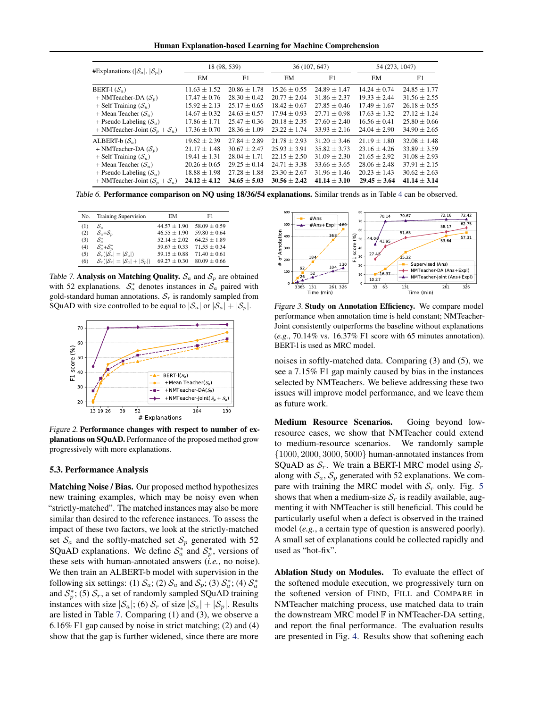Human Explanation-based Learning for Machine Comprehension

<span id="page-6-0"></span>

| #Explanations ( $ \mathcal{S}_a ,  \mathcal{S}_p $ ) | 18 (98, 539)     |                  | 36 (107, 647)    |                  | 54 (273, 1047)   |                  |
|------------------------------------------------------|------------------|------------------|------------------|------------------|------------------|------------------|
|                                                      | EM               | F1               | EM               | F1               | EM               | F1               |
| BERT-1 $(S_a)$                                       | $11.63 \pm 1.52$ | $20.86 + 1.78$   | $15.26 + 0.55$   | $24.89 + 1.47$   | $14.24 + 0.74$   | $24.85 + 1.77$   |
| + NMTeacher-DA $(S_n)$                               | $17.47 + 0.76$   | $28.30 + 0.42$   | $20.77 + 2.04$   | $31.86 + 2.37$   | $19.33 + 2.44$   | $31.56 + 2.55$   |
| + Self Training $(S_u)$                              | $15.92 \pm 2.13$ | $25.17 + 0.65$   | $18.42 + 0.67$   | $27.85 + 0.46$   | $17.49 + 1.67$   | $26.18 + 0.55$   |
| + Mean Teacher $(S_u)$                               | $14.67 \pm 0.32$ | $24.63 + 0.57$   | $17.94 \pm 0.93$ | $27.71 + 0.98$   | $17.63 + 1.32$   | $27.12 + 1.24$   |
| + Pseudo Labeling $(S_u)$                            | $17.86 \pm 1.71$ | $25.47 + 0.36$   | $20.18 \pm 2.35$ | $27.60 + 2.40$   | $16.56 \pm 0.41$ | $25.80 \pm 0.66$ |
| + NMTeacher-Joint $(S_n + S_n)$                      | $17.36 + 0.70$   | $28.36 + 1.09$   | $23.22 \pm 1.74$ | $33.93 + 2.16$   | $24.04 + 2.90$   | $34.90 + 2.65$   |
| ALBERT-b $(\mathcal{S}_a)$                           | $19.62 \pm 2.39$ | $27.84 + 2.89$   | $21.78 + 2.93$   | $31.20 + 3.46$   | $21.19 \pm 1.80$ | $32.08 + 1.48$   |
| + NMTeacher-DA $(S_n)$                               | $21.17 + 1.48$   | $30.67 \pm 2.47$ | $25.93 \pm 3.91$ | $35.82 + 3.73$   | $23.16 + 4.26$   | $33.89 + 3.59$   |
| + Self Training $(S_u)$                              | $19.41 \pm 1.31$ | $28.04 \pm 1.71$ | $22.15 \pm 2.50$ | $31.09 \pm 2.30$ | $21.65 \pm 2.92$ | $31.08 \pm 2.93$ |
| + Mean Teacher $(S_u)$                               | $20.26 + 0.65$   | $29.25 + 0.14$   | $24.71 + 3.38$   | $33.66 + 3.65$   | $28.06 + 2.48$   | $37.91 + 2.15$   |
| + Pseudo Labeling $(S_n)$                            | $18.88 \pm 1.98$ | $27.28 + 1.88$   | $23.30 \pm 2.67$ | $31.96 + 1.46$   | $20.23 + 1.43$   | $30.62 + 2.63$   |
| + NMTeacher-Joint $(S_n + S_n)$                      | $24.12 \pm 4.12$ | $34.65 + 5.03$   | $30.56 + 2.42$   | $41.14 + 3.10$   | $29.45 + 3.64$   | $41.14 + 3.14$   |

Table 6. Performance comparison on NQ using 18/36/54 explanations. Similar trends as in Table [4](#page-5-0) can be observed.

| No. | <b>Training Supervision</b>  | EМ               | F1               |
|-----|------------------------------|------------------|------------------|
| (1) | $S_a$                        | $44.57 \pm 1.90$ | $58.09 \pm 0.59$ |
| (2) | $S_a + S_n$                  | $46.55 \pm 1.90$ | $59.80 \pm 0.64$ |
| (3) | $\mathcal{S}^*_{\alpha}$     | $52.14 + 2.02$   | $64.25 \pm 1.89$ |
| (4) | $S^*_a + S^*_n$              | $59.67 + 0.33$   | $71.55 + 0.34$   |
| (5) | $S_r( S_r  =  S_a )$         | $59.15 \pm 0.88$ | $71.40 \pm 0.61$ |
| (6) | $S_r( S_r  =  S_a  +  S_p )$ | $69.27 + 0.30$   | $80.09 \pm 0.66$ |

Table 7. Analysis on Matching Quality.  $S_a$  and  $S_p$  are obtained with 52 explanations.  $S_a^*$  denotes instances in  $S_a$  paired with gold-standard human annotations.  $S_r$  is randomly sampled from SQuAD with size controlled to be equal to  $|S_a|$  or  $|S_a| + |S_p|$ .



Figure 2. Performance changes with respect to number of explanations on SQuAD. Performance of the proposed method grow progressively with more explanations.

#### 5.3. Performance Analysis

Matching Noise / Bias. Our proposed method hypothesizes new training examples, which may be noisy even when "strictly-matched". The matched instances may also be more similar than desired to the reference instances. To assess the impact of these two factors, we look at the strictly-matched set  $S_a$  and the softly-matched set  $S_p$  generated with 52 SQuAD explanations. We define  $S_a^*$  and  $S_p^*$ , versions of these sets with human-annotated answers (*i.e.*, no noise). We then train an ALBERT-b model with supervision in the following six settings: (1)  $S_a$ ; (2)  $S_a$  and  $S_p$ ; (3)  $S_a^*$ ; (4)  $S_a^*$ and  $S_p^*$ ; (5)  $S_r$ , a set of randomly sampled SQuAD training instances with size  $|\mathcal{S}_a|$ ; (6)  $\mathcal{S}_r$  of size  $|\mathcal{S}_a| + |\mathcal{S}_p|$ . Results are listed in Table 7. Comparing (1) and (3), we observe a 6.16% F1 gap caused by noise in strict matching; (2) and (4) show that the gap is further widened, since there are more



Figure 3. Study on Annotation Efficiency. We compare model performance when annotation time is held constant; NMTeacher-Joint consistently outperforms the baseline without explanations (*e.g.*, 70.14% vs. 16.37% F1 score with 65 minutes annotation). BERT-l is used as MRC model.

noises in softly-matched data. Comparing (3) and (5), we see a 7.15% F1 gap mainly caused by bias in the instances selected by NMTeachers. We believe addressing these two issues will improve model performance, and we leave them as future work.

Medium Resource Scenarios. Going beyond lowresource cases, we show that NMTeacher could extend to medium-resource scenarios. We randomly sample {1000, 2000, 3000, 5000} human-annotated instances from SQuAD as  $S_r$ . We train a BERT-l MRC model using  $S_r$ along with  $S_a$ ,  $S_p$  generated with 52 explanations. We compare with training the MRC model with  $S_r$  only. Fig. [5](#page-7-0) shows that when a medium-size  $S_r$  is readily available, augmenting it with NMTeacher is still beneficial. This could be particularly useful when a defect is observed in the trained model (*e.g.*, a certain type of question is answered poorly). A small set of explanations could be collected rapidly and used as "hot-fix".

Ablation Study on Modules. To evaluate the effect of the softened module execution, we progressively turn on the softened version of FIND, FILL and COMPARE in NMTeacher matching process, use matched data to train the downstream MRC model  $F$  in NMTeacher-DA setting, and report the final performance. The evaluation results are presented in Fig. [4.](#page-7-0) Results show that softening each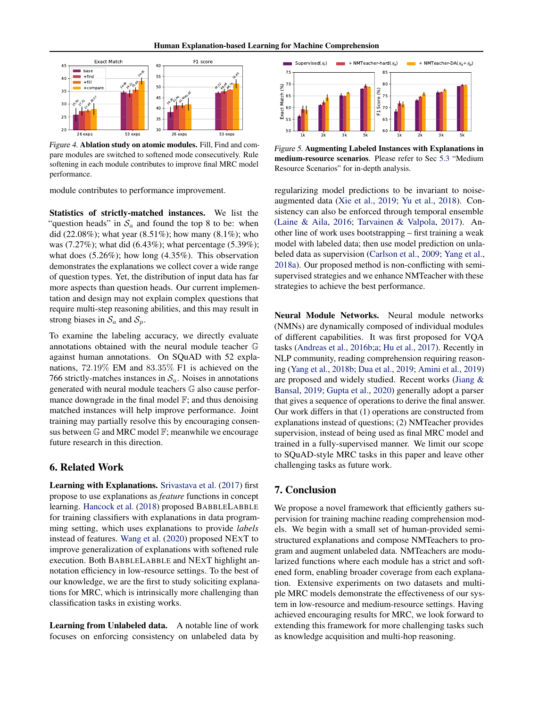<span id="page-7-0"></span>

Figure 4. Ablation study on atomic modules. Fill, Find and compare modules are switched to softened mode consecutively. Rule softening in each module contributes to improve final MRC model performance.

module contributes to performance improvement.

Statistics of strictly-matched instances. We list the "question heads" in  $S_a$  and found the top 8 to be: when did (22.08%); what year (8.51%); how many (8.1%); who was (7.27%); what did (6.43%); what percentage (5.39%); what does (5.26%); how long (4.35%). This observation demonstrates the explanations we collect cover a wide range of question types. Yet, the distribution of input data has far more aspects than question heads. Our current implementation and design may not explain complex questions that require multi-step reasoning abilities, and this may result in strong biases in  $S_a$  and  $S_p$ .

To examine the labeling accuracy, we directly evaluate annotations obtained with the neural module teacher G against human annotations. On SQuAD with 52 explanations, 72.19% EM and 83.35% F1 is achieved on the 766 strictly-matches instances in  $S_a$ . Noises in annotations generated with neural module teachers G also cause performance downgrade in the final model  $\mathbb{F}$ ; and thus denoising matched instances will help improve performance. Joint training may partially resolve this by encouraging consensus between G and MRC model F; meanwhile we encourage future research in this direction.

# 6. Related Work

Learning with Explanations. [Srivastava et al.](#page-9-0) [\(2017\)](#page-9-0) first propose to use explanations as *feature* functions in concept learning. [Hancock et al.](#page-8-0) [\(2018\)](#page-8-0) proposed BABBLELABBLE for training classifiers with explanations in data programming setting, which uses explanations to provide *labels* instead of features. [Wang et al.](#page-9-0) [\(2020\)](#page-9-0) proposed NEXT to improve generalization of explanations with softened rule execution. Both BABBLELABBLE and NEXT highlight annotation efficiency in low-resource settings. To the best of our knowledge, we are the first to study soliciting explanations for MRC, which is intrinsically more challenging than classification tasks in existing works.

Learning from Unlabeled data. A notable line of work focuses on enforcing consistency on unlabeled data by



Figure 5. Augmenting Labeled Instances with Explanations in medium-resource scenarios. Please refer to Sec [5.3](#page-6-0) "Medium Resource Scenarios" for in-depth analysis.

regularizing model predictions to be invariant to noiseaugmented data [\(Xie et al.,](#page-9-0) [2019;](#page-9-0) [Yu et al.,](#page-9-0) [2018\)](#page-9-0). Consistency can also be enforced through temporal ensemble [\(Laine & Aila,](#page-8-0) [2016;](#page-8-0) [Tarvainen & Valpola,](#page-9-0) [2017\)](#page-9-0). Another line of work uses bootstrapping – first training a weak model with labeled data; then use model prediction on unlabeled data as supervision [\(Carlson et al.,](#page-8-0) [2009;](#page-8-0) [Yang et al.,](#page-9-0) [2018a\)](#page-9-0). Our proposed method is non-conflicting with semisupervised strategies and we enhance NMTeacher with these strategies to achieve the best performance.

Neural Module Networks. Neural module networks (NMNs) are dynamically composed of individual modules of different capabilities. It was first proposed for VQA tasks [\(Andreas et al.,](#page-8-0) [2016b;a;](#page-8-0) [Hu et al.,](#page-8-0) [2017\)](#page-8-0). Recently in NLP community, reading comprehension requiring reasoning [\(Yang et al.,](#page-9-0) [2018b;](#page-9-0) [Dua et al.,](#page-8-0) [2019;](#page-8-0) [Amini et al.,](#page-8-0) [2019\)](#page-8-0) are proposed and widely studied. Recent works [\(Jiang &](#page-8-0) [Bansal,](#page-8-0) [2019;](#page-8-0) [Gupta et al.,](#page-8-0) [2020\)](#page-8-0) generally adopt a parser that gives a sequence of operations to derive the final answer. Our work differs in that (1) operations are constructed from explanations instead of questions; (2) NMTeacher provides supervision, instead of being used as final MRC model and trained in a fully-supervised manner. We limit our scope to SQuAD-style MRC tasks in this paper and leave other challenging tasks as future work.

# 7. Conclusion

We propose a novel framework that efficiently gathers supervision for training machine reading comprehension models. We begin with a small set of human-provided semistructured explanations and compose NMTeachers to program and augment unlabeled data. NMTeachers are modularized functions where each module has a strict and softened form, enabling broader coverage from each explanation. Extensive experiments on two datasets and multiple MRC models demonstrate the effectiveness of our system in low-resource and medium-resource settings. Having achieved encouraging results for MRC, we look forward to extending this framework for more challenging tasks such as knowledge acquisition and multi-hop reasoning.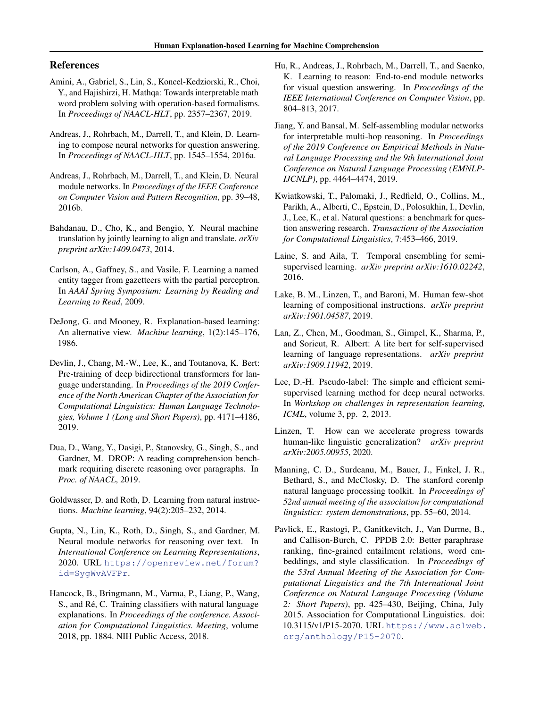## <span id="page-8-0"></span>References

- Amini, A., Gabriel, S., Lin, S., Koncel-Kedziorski, R., Choi, Y., and Hajishirzi, H. Mathqa: Towards interpretable math word problem solving with operation-based formalisms. In *Proceedings of NAACL-HLT*, pp. 2357–2367, 2019.
- Andreas, J., Rohrbach, M., Darrell, T., and Klein, D. Learning to compose neural networks for question answering. In *Proceedings of NAACL-HLT*, pp. 1545–1554, 2016a.
- Andreas, J., Rohrbach, M., Darrell, T., and Klein, D. Neural module networks. In *Proceedings of the IEEE Conference on Computer Vision and Pattern Recognition*, pp. 39–48, 2016b.
- Bahdanau, D., Cho, K., and Bengio, Y. Neural machine translation by jointly learning to align and translate. *arXiv preprint arXiv:1409.0473*, 2014.
- Carlson, A., Gaffney, S., and Vasile, F. Learning a named entity tagger from gazetteers with the partial perceptron. In *AAAI Spring Symposium: Learning by Reading and Learning to Read*, 2009.
- DeJong, G. and Mooney, R. Explanation-based learning: An alternative view. *Machine learning*, 1(2):145–176, 1986.
- Devlin, J., Chang, M.-W., Lee, K., and Toutanova, K. Bert: Pre-training of deep bidirectional transformers for language understanding. In *Proceedings of the 2019 Conference of the North American Chapter of the Association for Computational Linguistics: Human Language Technologies, Volume 1 (Long and Short Papers)*, pp. 4171–4186, 2019.
- Dua, D., Wang, Y., Dasigi, P., Stanovsky, G., Singh, S., and Gardner, M. DROP: A reading comprehension benchmark requiring discrete reasoning over paragraphs. In *Proc. of NAACL*, 2019.
- Goldwasser, D. and Roth, D. Learning from natural instructions. *Machine learning*, 94(2):205–232, 2014.
- Gupta, N., Lin, K., Roth, D., Singh, S., and Gardner, M. Neural module networks for reasoning over text. In *International Conference on Learning Representations*, 2020. URL [https://openreview.net/forum?](https://openreview.net/forum?id=SygWvAVFPr) [id=SygWvAVFPr](https://openreview.net/forum?id=SygWvAVFPr).
- Hancock, B., Bringmann, M., Varma, P., Liang, P., Wang, S., and Ré, C. Training classifiers with natural language explanations. In *Proceedings of the conference. Association for Computational Linguistics. Meeting*, volume 2018, pp. 1884. NIH Public Access, 2018.
- Hu, R., Andreas, J., Rohrbach, M., Darrell, T., and Saenko, K. Learning to reason: End-to-end module networks for visual question answering. In *Proceedings of the IEEE International Conference on Computer Vision*, pp. 804–813, 2017.
- Jiang, Y. and Bansal, M. Self-assembling modular networks for interpretable multi-hop reasoning. In *Proceedings of the 2019 Conference on Empirical Methods in Natural Language Processing and the 9th International Joint Conference on Natural Language Processing (EMNLP-IJCNLP)*, pp. 4464–4474, 2019.
- Kwiatkowski, T., Palomaki, J., Redfield, O., Collins, M., Parikh, A., Alberti, C., Epstein, D., Polosukhin, I., Devlin, J., Lee, K., et al. Natural questions: a benchmark for question answering research. *Transactions of the Association for Computational Linguistics*, 7:453–466, 2019.
- Laine, S. and Aila, T. Temporal ensembling for semisupervised learning. *arXiv preprint arXiv:1610.02242*, 2016.
- Lake, B. M., Linzen, T., and Baroni, M. Human few-shot learning of compositional instructions. *arXiv preprint arXiv:1901.04587*, 2019.
- Lan, Z., Chen, M., Goodman, S., Gimpel, K., Sharma, P., and Soricut, R. Albert: A lite bert for self-supervised learning of language representations. *arXiv preprint arXiv:1909.11942*, 2019.
- Lee, D.-H. Pseudo-label: The simple and efficient semisupervised learning method for deep neural networks. In *Workshop on challenges in representation learning, ICML*, volume 3, pp. 2, 2013.
- Linzen, T. How can we accelerate progress towards human-like linguistic generalization? *arXiv preprint arXiv:2005.00955*, 2020.
- Manning, C. D., Surdeanu, M., Bauer, J., Finkel, J. R., Bethard, S., and McClosky, D. The stanford corenlp natural language processing toolkit. In *Proceedings of 52nd annual meeting of the association for computational linguistics: system demonstrations*, pp. 55–60, 2014.
- Pavlick, E., Rastogi, P., Ganitkevitch, J., Van Durme, B., and Callison-Burch, C. PPDB 2.0: Better paraphrase ranking, fine-grained entailment relations, word embeddings, and style classification. In *Proceedings of the 53rd Annual Meeting of the Association for Computational Linguistics and the 7th International Joint Conference on Natural Language Processing (Volume 2: Short Papers)*, pp. 425–430, Beijing, China, July 2015. Association for Computational Linguistics. doi: 10.3115/v1/P15-2070. URL [https://www.aclweb.](https://www.aclweb.org/anthology/P15-2070) [org/anthology/P15-2070](https://www.aclweb.org/anthology/P15-2070).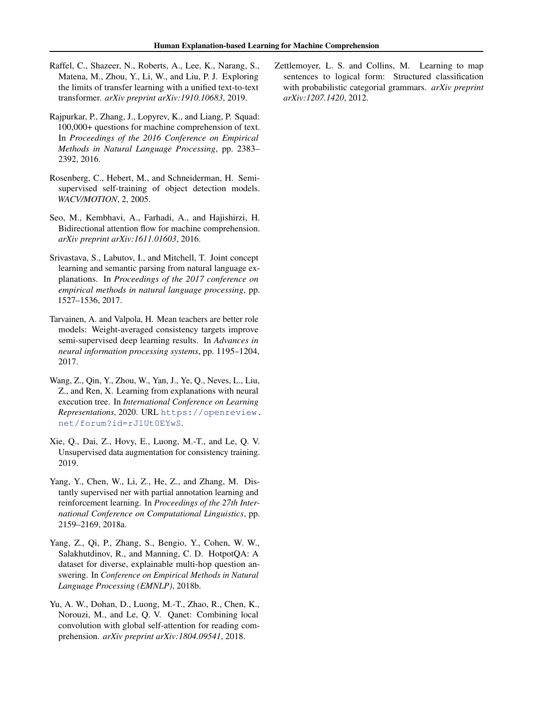- <span id="page-9-0"></span>Raffel, C., Shazeer, N., Roberts, A., Lee, K., Narang, S., Matena, M., Zhou, Y., Li, W., and Liu, P. J. Exploring the limits of transfer learning with a unified text-to-text transformer. *arXiv preprint arXiv:1910.10683*, 2019.
- Rajpurkar, P., Zhang, J., Lopyrev, K., and Liang, P. Squad: 100,000+ questions for machine comprehension of text. In *Proceedings of the 2016 Conference on Empirical Methods in Natural Language Processing*, pp. 2383– 2392, 2016.
- Rosenberg, C., Hebert, M., and Schneiderman, H. Semisupervised self-training of object detection models. *WACV/MOTION*, 2, 2005.
- Seo, M., Kembhavi, A., Farhadi, A., and Hajishirzi, H. Bidirectional attention flow for machine comprehension. *arXiv preprint arXiv:1611.01603*, 2016.
- Srivastava, S., Labutov, I., and Mitchell, T. Joint concept learning and semantic parsing from natural language explanations. In *Proceedings of the 2017 conference on empirical methods in natural language processing*, pp. 1527–1536, 2017.
- Tarvainen, A. and Valpola, H. Mean teachers are better role models: Weight-averaged consistency targets improve semi-supervised deep learning results. In *Advances in neural information processing systems*, pp. 1195–1204, 2017.
- Wang, Z., Qin, Y., Zhou, W., Yan, J., Ye, Q., Neves, L., Liu, Z., and Ren, X. Learning from explanations with neural execution tree. In *International Conference on Learning Representations*, 2020. URL [https://openreview.](https://openreview.net/forum?id=rJlUt0EYwS) [net/forum?id=rJlUt0EYwS](https://openreview.net/forum?id=rJlUt0EYwS).
- Xie, Q., Dai, Z., Hovy, E., Luong, M.-T., and Le, Q. V. Unsupervised data augmentation for consistency training. 2019.
- Yang, Y., Chen, W., Li, Z., He, Z., and Zhang, M. Distantly supervised ner with partial annotation learning and reinforcement learning. In *Proceedings of the 27th International Conference on Computational Linguistics*, pp. 2159–2169, 2018a.
- Yang, Z., Qi, P., Zhang, S., Bengio, Y., Cohen, W. W., Salakhutdinov, R., and Manning, C. D. HotpotQA: A dataset for diverse, explainable multi-hop question answering. In *Conference on Empirical Methods in Natural Language Processing (EMNLP)*, 2018b.
- Yu, A. W., Dohan, D., Luong, M.-T., Zhao, R., Chen, K., Norouzi, M., and Le, Q. V. Qanet: Combining local convolution with global self-attention for reading comprehension. *arXiv preprint arXiv:1804.09541*, 2018.

Zettlemoyer, L. S. and Collins, M. Learning to map sentences to logical form: Structured classification with probabilistic categorial grammars. *arXiv preprint arXiv:1207.1420*, 2012.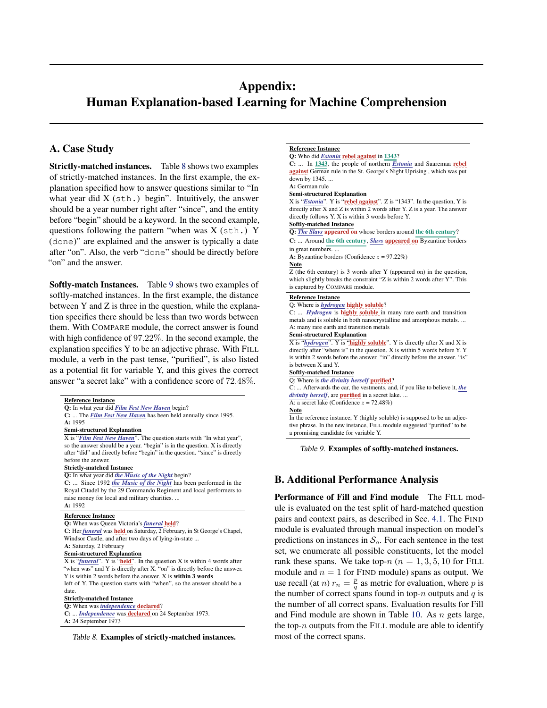# <span id="page-10-0"></span>Appendix: Human Explanation-based Learning for Machine Comprehension

# A. Case Study

Strictly-matched instances. Table 8 shows two examples of strictly-matched instances. In the first example, the explanation specified how to answer questions similar to "In what year did  $X$  (sth.) begin". Intuitively, the answer should be a year number right after "since", and the entity before "begin" should be a keyword. In the second example, questions following the pattern "when was X (sth.) Y (done)" are explained and the answer is typically a date after "on". Also, the verb "done" should be directly before "on" and the answer.

Softly-match Instances. Table 9 shows two examples of softly-matched instances. In the first example, the distance between Y and Z is three in the question, while the explanation specifies there should be less than two words between them. With COMPARE module, the correct answer is found with high confidence of 97.22%. In the second example, the explanation specifies Y to be an adjective phrase. With FILL module, a verb in the past tense, "purified", is also listed as a potential fit for variable Y, and this gives the correct answer "a secret lake" with a confidence score of 72.48%.

|         | <b>Reference Instance</b>                                                                      |
|---------|------------------------------------------------------------------------------------------------|
|         | Q: In what year did Film Fest New Haven begin?                                                 |
|         | C:  The Film Fest New Haven has been held annually since 1995.                                 |
| A: 1995 |                                                                                                |
|         | <b>Semi-structured Explanation</b>                                                             |
|         | X is "Film Fest New Haven". The question starts with "In what year",                           |
|         | so the answer should be a year. "begin" is in the question. X is directly                      |
|         | after "did" and directly before "begin" in the question. "since" is directly                   |
|         | before the answer.                                                                             |
|         | <b>Strictly-matched Instance</b>                                                               |
|         | Q: In what year did the Music of the Night begin?                                              |
|         | C:  Since 1992 the Music of the Night has been performed in the                                |
|         | Royal Citadel by the 29 Commando Regiment and local performers to                              |
|         | raise money for local and military charities.                                                  |
| A: 1992 |                                                                                                |
|         | <b>Reference Instance</b>                                                                      |
|         | Q: When was Queen Victoria's funeral held?                                                     |
|         | C: Her <i>funeral</i> was held on Saturday, 2 February, in St George's Chapel,                 |
|         | Windsor Castle, and after two days of lying-in-state                                           |
|         | A: Saturday, 2 February                                                                        |
|         | <b>Semi-structured Explanation</b>                                                             |
|         | $\overline{X}$ is " <i>funeral</i> ". Y is "held". In the question $X$ is within 4 words after |
|         | "when was" and Y is directly after X. "on" is directly before the answer.                      |
|         | Y is within 2 words before the answer. X is within 3 words                                     |
|         | left of Y. The question starts with "when", so the answer should be a                          |
| date.   |                                                                                                |
|         | <b>Strictly-matched Instance</b>                                                               |
|         | O: When was <i>independence</i> declared?                                                      |
|         | C:  Independence was declared on 24 September 1973.                                            |
|         | A: 24 September 1973                                                                           |

Table 8. Examples of strictly-matched instances.

## Reference Instance Q: Who did *Estonia* rebel against in 1343?

 $C: \ldots$  In  $\underline{1343}$ , the people of northern *Estonia* and Saaremaa rebel against German rule in the St. George's Night Uprising , which was put down by 1345. .. A: German rule

### Semi-structured Explanation

X is "*Estonia*". Y is "rebel against". Z is "1343". In the question, Y is directly after X and Z is within 2 words after Y. Z is a year. The answer directly follows Y. X is within 3 words before Y.

## Softly-matched Instance

Q: *The Slavs* appeared on whose borders around the 6th century? C: ... Around the 6th century, *Slavs* appeared on Byzantine borders

in great numbers.

A: Byzantine borders (Confidence  $z = 97.22\%$ )

Note

Z (the 6th century) is 3 words after Y (appeared on) in the question, which slightly breaks the constraint "Z is within 2 words after Y". This is captured by COMPARE module.

# Reference Instance

Q: Where is *hydrogen* highly soluble? C: ... *Hydrogen* is highly soluble in many rare earth and transition metals and is soluble in both nanocrystalline and amorphous metals. ... A: many rare earth and transition metals Semi-structured Explanation X is "*hydrogen*". Y is "*highly soluble*". Y is directly after X and X is directly after "where is" in the question. X is within 5 words before Y. Y is within 2 words before the answer. "in" directly before the answer. "is" is between X and Y. Softly-matched Instance

Q: Where is *the divinity herself* purified?

C: ... Afterwards the car, the vestments, and, if you like to believe it, *the divinity herself*, are **purified** in a secret lake. .. A: a secret lake (Confidence  $z = 72.48\%$ )

Note

In the reference instance, Y (highly soluble) is supposed to be an adjective phrase. In the new instance, <sup>F</sup>ILL module suggested "purified" to be a promising candidate for variable Y.

Table 9. Examples of softly-matched instances.

# B. Additional Performance Analysis

Performance of Fill and Find module The FILL module is evaluated on the test split of hard-matched question pairs and context pairs, as described in Sec. [4.1.](#page-3-0) The FIND module is evaluated through manual inspection on model's predictions on instances in  $S<sub>o</sub>$ . For each sentence in the test set, we enumerate all possible constituents, let the model rank these spans. We take top- $n (n = 1, 3, 5, 10)$  for FILL module and  $n = 1$  for FIND module) spans as output. We use recall (at *n*)  $r_n = \frac{p}{q}$  as metric for evaluation, where *p* is the number of correct spans found in top- $n$  outputs and  $q$  is the number of all correct spans. Evaluation results for Fill and Find module are shown in Table [10.](#page-11-0) As  $n$  gets large, the top- $n$  outputs from the FILL module are able to identify most of the correct spans.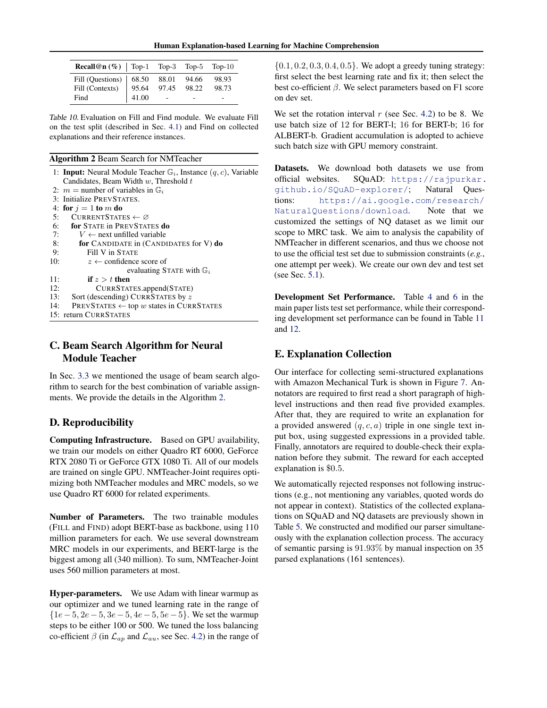<span id="page-11-0"></span>

| <b>Recall@n</b> $(\%)$   Top-1 Top-3 Top-5 Top-10                  |       |       |       |
|--------------------------------------------------------------------|-------|-------|-------|
| Fill (Questions)   $68.50$ 88.01                                   |       | 94.66 | 98.93 |
| Fill (Contexts) $\begin{array}{ l} \hline \end{array}$ 95.64 97.45 |       | 98.22 | 98.73 |
| Find                                                               | 41.00 |       |       |

Table 10. Evaluation on Fill and Find module. We evaluate Fill on the test split (described in Sec. [4.1\)](#page-3-0) and Find on collected explanations and their reference instances.

#### Algorithm 2 Beam Search for NMTeacher

|     | 1: <b>Input:</b> Neural Module Teacher $\mathbb{G}_i$ , Instance $(q, c)$ , Variable |
|-----|--------------------------------------------------------------------------------------|
|     | Candidates, Beam Width $w$ , Threshold $t$                                           |
|     | 2: $m =$ number of variables in $\mathbb{G}_i$                                       |
|     | 3: Initialize PREVSTATES.                                                            |
|     | 4: for $j = 1$ to m do                                                               |
| 5:  | CURRENTSTATES $\leftarrow \varnothing$                                               |
| 6:  | for STATE in PREVSTATES do                                                           |
| 7:  | $V \leftarrow$ next unfilled variable                                                |
| 8:  | for CANDIDATE in (CANDIDATES for $V$ ) do                                            |
| 9:  | Fill V in STATE                                                                      |
| 10: | $z \leftarrow$ confidence score of                                                   |
|     | evaluating STATE with $\mathbb{G}_i$                                                 |
| 11: | if $z > t$ then                                                                      |
| 12: | CURRSTATES.append(STATE)                                                             |
| 13: | Sort (descending) CURRSTATES by z                                                    |
| 14: | PREVSTATES $\leftarrow$ top w states in CURRSTATES                                   |
|     | 15: return CURRSTATES                                                                |
|     |                                                                                      |

# C. Beam Search Algorithm for Neural Module Teacher

In Sec. [3.3](#page-3-0) we mentioned the usage of beam search algorithm to search for the best combination of variable assignments. We provide the details in the Algorithm 2.

# D. Reproducibility

Computing Infrastructure. Based on GPU availability, we train our models on either Quadro RT 6000, GeForce RTX 2080 Ti or GeForce GTX 1080 Ti. All of our models are trained on single GPU. NMTeacher-Joint requires optimizing both NMTeacher modules and MRC models, so we use Quadro RT 6000 for related experiments.

Number of Parameters. The two trainable modules (FILL and FIND) adopt BERT-base as backbone, using 110 million parameters for each. We use several downstream MRC models in our experiments, and BERT-large is the biggest among all (340 million). To sum, NMTeacher-Joint uses 560 million parameters at most.

Hyper-parameters. We use Adam with linear warmup as our optimizer and we tuned learning rate in the range of  ${1e-5, 2e-5, 3e-5, 4e-5, 5e-5}.$  We set the warmup steps to be either 100 or 500. We tuned the loss balancing co-efficient  $\beta$  (in  $\mathcal{L}_{ap}$  and  $\mathcal{L}_{au}$ , see Sec. [4.2\)](#page-4-0) in the range of

 $\{0.1, 0.2, 0.3, 0.4, 0.5\}$ . We adopt a greedy tuning strategy: first select the best learning rate and fix it; then select the best co-efficient  $\beta$ . We select parameters based on F1 score on dev set.

We set the rotation interval  $r$  (see Sec. [4.2\)](#page-4-0) to be 8. We use batch size of 12 for BERT-l; 16 for BERT-b; 16 for ALBERT-b. Gradient accumulation is adopted to achieve such batch size with GPU memory constraint.

Datasets. We download both datasets we use from official websites. SQuAD: [https://rajpurkar.](https://rajpurkar.github.io/SQuAD-explorer/) [github.io/SQuAD-explorer/](https://rajpurkar.github.io/SQuAD-explorer/); Natural Questions: [https://ai.google.com/research/](https://ai.google.com/research/NaturalQuestions/download) [NaturalQuestions/download](https://ai.google.com/research/NaturalQuestions/download). Note that we customized the settings of NQ dataset as we limit our scope to MRC task. We aim to analysis the capability of NMTeacher in different scenarios, and thus we choose not to use the official test set due to submission constraints (*e.g.*, one attempt per week). We create our own dev and test set (see Sec. [5.1\)](#page-4-0).

Development Set Performance. Table [4](#page-5-0) and [6](#page-6-0) in the main paper lists test set performance, while their corresponding development set performance can be found in Table [11](#page-12-0) and [12.](#page-12-0)

## E. Explanation Collection

Our interface for collecting semi-structured explanations with Amazon Mechanical Turk is shown in Figure [7.](#page-13-0) Annotators are required to first read a short paragraph of highlevel instructions and then read five provided examples. After that, they are required to write an explanation for a provided answered  $(q, c, a)$  triple in one single text input box, using suggested expressions in a provided table. Finally, annotators are required to double-check their explanation before they submit. The reward for each accepted explanation is \$0.5.

We automatically rejected responses not following instructions (e.g., not mentioning any variables, quoted words do not appear in context). Statistics of the collected explanations on SQuAD and NQ datasets are previously shown in Table [5.](#page-5-0) We constructed and modified our parser simultaneously with the explanation collection process. The accuracy of semantic parsing is 91.93% by manual inspection on 35 parsed explanations (161 sentences).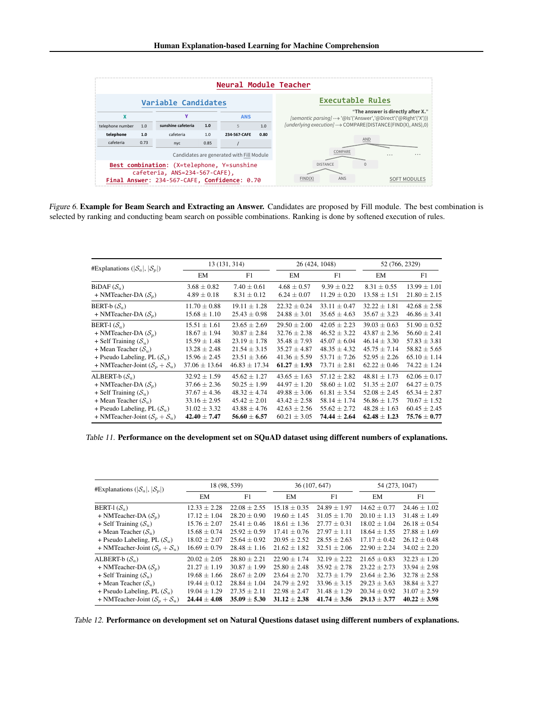<span id="page-12-0"></span>

Figure 6. Example for Beam Search and Extracting an Answer. Candidates are proposed by Fill module. The best combination is selected by ranking and conducting beam search on possible combinations. Ranking is done by softened execution of rules.

| #Explanations ( $ \mathcal{S}_a ,  \mathcal{S}_n $ ) | 13 (131, 314)     |                   | 26 (424, 1048)   |                  | 52 (766, 2329)   |                  |
|------------------------------------------------------|-------------------|-------------------|------------------|------------------|------------------|------------------|
|                                                      | EM                | F1                | EM               | F1               | EM               | F1               |
| $BiDAF(S_a)$                                         | $3.68 \pm 0.82$   | $7.40 \pm 0.61$   | $4.68 \pm 0.57$  | $9.39 \pm 0.22$  | $8.31 \pm 0.55$  | $13.99 \pm 1.01$ |
| + NMTeacher-DA $(S_n)$                               | $4.89 \pm 0.18$   | $8.31 \pm 0.12$   | $6.24 \pm 0.07$  | $11.29 \pm 0.20$ | $13.58 \pm 1.51$ | $21.80 \pm 2.15$ |
| BERT-b $(\mathcal{S}_a)$                             | $11.70 \pm 0.88$  | $19.11 + 1.28$    | $22.32 + 0.24$   | $33.11 + 0.47$   | $32.22 + 1.81$   | $42.68 + 2.58$   |
| + NMTeacher-DA $(S_n)$                               | $15.68 \pm 1.10$  | $25.43 \pm 0.98$  | $24.88 \pm 3.01$ | $35.65 \pm 4.63$ | $35.67 \pm 3.23$ | $46.86 \pm 3.41$ |
| BERT-1 $(S_a)$                                       | $15.51 \pm 1.61$  | $23.65 \pm 2.69$  | $29.50 \pm 2.00$ | $42.05 \pm 2.23$ | $39.03 \pm 0.63$ | $51.90 \pm 0.52$ |
| + NMTeacher-DA $(S_n)$                               | $18.67 \pm 1.94$  | $30.87 \pm 2.84$  | $32.76 \pm 2.38$ | $46.52 \pm 3.22$ | $43.87 \pm 2.36$ | $56.60 \pm 2.41$ |
| + Self Training $(S_u)$                              | $15.59 \pm 1.48$  | $23.19 \pm 1.78$  | $35.48 \pm 7.93$ | $45.07 + 6.04$   | $46.14 \pm 3.30$ | $57.83 \pm 3.81$ |
| + Mean Teacher $(S_u)$                               | $13.28 \pm 2.48$  | $21.54 \pm 3.15$  | $35.27 \pm 4.87$ | $48.35 \pm 4.32$ | $45.75 + 7.14$   | $58.82 \pm 5.65$ |
| + Pseudo Labeling, PL $(S_u)$                        | $15.96 \pm 2.45$  | $23.51 \pm 3.66$  | $41.36 \pm 5.59$ | $53.71 \pm 7.26$ | $52.95 \pm 2.26$ | $65.10 \pm 1.14$ |
| + NMTeacher-Joint $(S_n + S_n)$                      | $37.06 \pm 13.64$ | $46.83 \pm 17.34$ | $61.27 \pm 1.93$ | $73.71 \pm 2.81$ | $62.22 \pm 0.46$ | $74.22 \pm 1.24$ |
| ALBERT-b $(\mathcal{S}_a)$                           | $32.92 \pm 1.59$  | $45.62 \pm 1.27$  | $43.65 \pm 1.63$ | $57.12 + 2.82$   | $48.81 \pm 1.73$ | $62.06 \pm 0.17$ |
| + NMTeacher-DA $(S_n)$                               | $37.66 \pm 2.36$  | $50.25 \pm 1.99$  | $44.97 \pm 1.20$ | $58.60 \pm 1.02$ | $51.35 \pm 2.07$ | $64.27 \pm 0.75$ |
| + Self Training $(S_u)$                              | $37.67 \pm 4.36$  | $48.32 \pm 4.74$  | $49.88 \pm 3.06$ | $61.81 \pm 3.54$ | $52.08 \pm 2.45$ | $65.34 \pm 2.87$ |
| + Mean Teacher $(S_u)$                               | $33.16 \pm 2.95$  | $45.42 \pm 2.01$  | $43.42 \pm 2.58$ | $58.14 \pm 1.74$ | $56.86 \pm 1.75$ | $70.67 \pm 1.52$ |
| + Pseudo Labeling, PL $(S_u)$                        | $31.02 \pm 3.32$  | $43.88 \pm 4.76$  | $42.63 \pm 2.56$ | $55.62 + 2.72$   | $48.28 \pm 1.63$ | $60.45 \pm 2.45$ |
| + NMTeacher-Joint $(S_n + S_n)$                      | $42.40 \pm 7.47$  | $56.60 \pm 6.57$  | $60.21 \pm 3.05$ | $74.44 \pm 2.64$ | $62.48 \pm 1.23$ | $75.76 \pm 0.77$ |

Table 11. Performance on the development set on SQuAD dataset using different numbers of explanations.

| #Explanations ( $ \mathcal{S}_a ,  \mathcal{S}_p $ ) | 18 (98, 539)     |                  | 36 (107, 647)    |                  | 54 (273, 1047)   |                  |
|------------------------------------------------------|------------------|------------------|------------------|------------------|------------------|------------------|
|                                                      | EM               | F1               | EM               | F1               | EM               | F1               |
| BERT-1 $(S_a)$                                       | $12.33 \pm 2.28$ | $22.08 + 2.55$   | $15.18 + 0.35$   | $24.89 + 1.97$   | $14.62 + 0.77$   | $24.46 + 1.02$   |
| + NMTeacher-DA $(S_n)$                               | $17.12 + 1.04$   | $28.20 + 0.90$   | $19.60 \pm 1.45$ | $31.05 + 1.70$   | $20.10 \pm 1.13$ | $31.48 \pm 1.49$ |
| + Self Training $(S_u)$                              | $15.76 \pm 2.07$ | $25.41 + 0.46$   | $18.61 + 1.36$   | $27.77 + 0.31$   | $18.02 + 1.04$   | $26.18 + 0.54$   |
| + Mean Teacher $(S_u)$                               | $15.68 \pm 0.74$ | $25.92 \pm 0.59$ | $17.41 + 0.76$   | $27.97 + 1.11$   | $18.64 + 1.55$   | $27.88 \pm 1.69$ |
| + Pseudo Labeling, PL $(S_u)$                        | $18.02 \pm 2.07$ | $25.64 \pm 0.92$ | $20.95 \pm 2.52$ | $28.55 + 2.63$   | $17.17 + 0.42$   | $26.12 \pm 0.48$ |
| + NMTeacher-Joint $(S_n + S_n)$                      | $16.69 + 0.79$   | $28.48 + 1.16$   | $21.62 \pm 1.82$ | $32.51 + 2.06$   | $22.90 + 2.24$   | $34.02 \pm 2.20$ |
| ALBERT-b $(\mathcal{S}_a)$                           | $20.02 \pm 2.05$ | $28.80 + 2.21$   | $22.90 \pm 1.74$ | $32.19 + 2.22$   | $21.65 + 0.83$   | $32.23 + 1.20$   |
| + NMTeacher-DA $(S_n)$                               | $21.27 \pm 1.19$ | $30.87 + 1.99$   | $25.80 + 2.48$   | $35.92 + 2.78$   | $23.22 + 2.73$   | $33.94 + 2.98$   |
| + Self Training $(S_u)$                              | $19.68 \pm 1.66$ | $28.67 + 2.09$   | $23.64 + 2.70$   | $32.73 \pm 1.79$ | $23.64 + 2.36$   | $32.78 + 2.58$   |
| + Mean Teacher $(S_u)$                               | $19.44 \pm 0.12$ | $28.84 \pm 1.04$ | $24.79 \pm 2.92$ | $33.96 \pm 3.15$ | $29.23 + 3.63$   | $38.84 \pm 3.27$ |
| + Pseudo Labeling, PL $(S_u)$                        | $19.04 \pm 1.29$ | $27.35 \pm 2.11$ | $22.98 \pm 2.47$ | $31.48 + 1.29$   | $20.34 + 0.92$   | $31.07 \pm 2.59$ |
| + NMTeacher-Joint $(S_n + S_n)$                      | $24.44 + 4.08$   | $35.09 + 5.30$   | $31.12 + 2.38$   | $41.74 + 3.56$   | $29.13 + 3.77$   | $40.22 \pm 3.98$ |

Table 12. Performance on development set on Natural Questions dataset using different numbers of explanations.